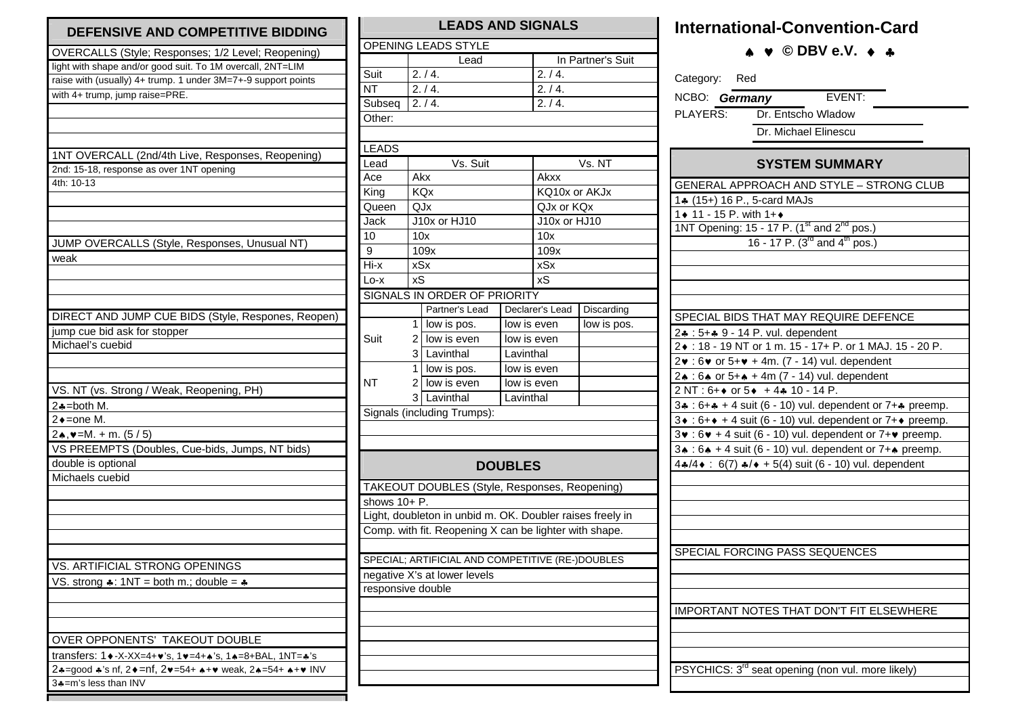| DEFENSIVE AND COMPETITIVE BIDDING                                      |  |  |  |  |  |  |  |
|------------------------------------------------------------------------|--|--|--|--|--|--|--|
| OVERCALLS (Style; Responses; 1/2 Level; Reopening)                     |  |  |  |  |  |  |  |
| light with shape and/or good suit. To 1M overcall, 2NT=LIM             |  |  |  |  |  |  |  |
| raise with (usually) 4+ trump. 1 under 3M=7+-9 support points          |  |  |  |  |  |  |  |
| with 4+ trump, jump raise=PRE.                                         |  |  |  |  |  |  |  |
|                                                                        |  |  |  |  |  |  |  |
|                                                                        |  |  |  |  |  |  |  |
|                                                                        |  |  |  |  |  |  |  |
| 1NT OVERCALL (2nd/4th Live, Responses, Reopening)                      |  |  |  |  |  |  |  |
| 2nd: 15-18, response as over 1NT opening                               |  |  |  |  |  |  |  |
| 4th: 10-13                                                             |  |  |  |  |  |  |  |
|                                                                        |  |  |  |  |  |  |  |
|                                                                        |  |  |  |  |  |  |  |
|                                                                        |  |  |  |  |  |  |  |
|                                                                        |  |  |  |  |  |  |  |
| JUMP OVERCALLS (Style, Responses, Unusual NT)                          |  |  |  |  |  |  |  |
| weak                                                                   |  |  |  |  |  |  |  |
|                                                                        |  |  |  |  |  |  |  |
|                                                                        |  |  |  |  |  |  |  |
|                                                                        |  |  |  |  |  |  |  |
| DIRECT AND JUMP CUE BIDS (Style, Respones, Reopen)                     |  |  |  |  |  |  |  |
| jump cue bid ask for stopper                                           |  |  |  |  |  |  |  |
| Michael's cuebid                                                       |  |  |  |  |  |  |  |
|                                                                        |  |  |  |  |  |  |  |
|                                                                        |  |  |  |  |  |  |  |
| VS. NT (vs. Strong / Weak, Reopening, PH)                              |  |  |  |  |  |  |  |
| $2*-both M.$                                                           |  |  |  |  |  |  |  |
| 2◆=one M.                                                              |  |  |  |  |  |  |  |
| $2\star, \vee = M. + m. (5/5)$                                         |  |  |  |  |  |  |  |
| VS PREEMPTS (Doubles, Cue-bids, Jumps, NT bids)                        |  |  |  |  |  |  |  |
| double is optional                                                     |  |  |  |  |  |  |  |
| Michaels cuebid                                                        |  |  |  |  |  |  |  |
|                                                                        |  |  |  |  |  |  |  |
|                                                                        |  |  |  |  |  |  |  |
|                                                                        |  |  |  |  |  |  |  |
|                                                                        |  |  |  |  |  |  |  |
|                                                                        |  |  |  |  |  |  |  |
| VS. ARTIFICIAL STRONG OPENINGS                                         |  |  |  |  |  |  |  |
| VS. strong $\clubsuit$ : 1NT = both m.; double = $\clubsuit$           |  |  |  |  |  |  |  |
|                                                                        |  |  |  |  |  |  |  |
|                                                                        |  |  |  |  |  |  |  |
|                                                                        |  |  |  |  |  |  |  |
| OVER OPPONENTS' TAKEOUT DOUBLE                                         |  |  |  |  |  |  |  |
| transfers: 1 • - X-XX=4+ v's, 1 • = 4+ * 's, 1 • = 8+ BAL, 1NT= * 's   |  |  |  |  |  |  |  |
| 2.4=good +'s nf, 2 • = nf, 2 • = 54 + + + • weak, 2 • = 54 + + + • INV |  |  |  |  |  |  |  |
| 3♣=m's less than INV                                                   |  |  |  |  |  |  |  |
|                                                                        |  |  |  |  |  |  |  |

## **LEADS AND SIGNALS** OPENING LEADS STYLE **Lead** In Partner's Suit Suit 2. / 4.  $2. / 4.$  $NT$  2. / 4.  $2. / 4.$ Subseq  $2. / 4.$  2.  $/ 4.$ Other: LEADS Lead Vs. Suit  $Vs. NT$ Ace Akx Akxx King KQx KQ10x or AKJx Queen QJx QJx or KQx Jack J10x or HJ10 J10x or HJ10 10 10x 10x 9 109x 109x  $109x$  $Hisx$   $xSx$  $xSx$ Lo-x xS xS SIGNALS IN ORDER OF PRIORITY Partner's Lead | Declarer's Lead | Discarding  $1$  low is pos. low is even low is pos. Suit  $2$  low is even low is even 3 Lavinthal Lavinthal  $1$  low is pos. low is even  $NT$  2  $low$  is even low is even 3 Lavinthal Lavinthal Signals (including Trumps): **DOUBLES**TAKEOUT DOUBLES (Style, Responses, Reopening) shows 10+ P. Light, doubleton in unbid m. OK. Doubler raises freely in Comp. with fit. Reopening X can be lighter with shape. SPECIAL; ARTIFICIAL AND COMPETITIVE (RE-)DOUBLES negative X's at lower levels responsive double

## **International-Convention-Card**

♠♥ **© DBV e.V.**  ♦♣

| Category: Red                                                                                                                                             |  |  |  |  |  |  |  |
|-----------------------------------------------------------------------------------------------------------------------------------------------------------|--|--|--|--|--|--|--|
| <b>EVENT:</b><br>NCBO: Germany                                                                                                                            |  |  |  |  |  |  |  |
| Dr. Entscho Wladow<br>PLAYERS:                                                                                                                            |  |  |  |  |  |  |  |
| Dr. Michael Elinescu                                                                                                                                      |  |  |  |  |  |  |  |
|                                                                                                                                                           |  |  |  |  |  |  |  |
| <b>SYSTEM SUMMARY</b>                                                                                                                                     |  |  |  |  |  |  |  |
| <b>GENERAL APPROACH AND STYLE - STRONG CLUB</b>                                                                                                           |  |  |  |  |  |  |  |
| 14 (15+) 16 P., 5-card MAJs                                                                                                                               |  |  |  |  |  |  |  |
| 1◆ 11 - 15 P. with 1+◆                                                                                                                                    |  |  |  |  |  |  |  |
| 1NT Opening: 15 - 17 P. $(1^{\text{st}} \text{ and } 2^{\text{nd}} \text{ pos.})$<br>16 - 17 P. $(3^{\text{rd}} \text{ and } 4^{\text{th}} \text{ pos.})$ |  |  |  |  |  |  |  |
|                                                                                                                                                           |  |  |  |  |  |  |  |
|                                                                                                                                                           |  |  |  |  |  |  |  |
|                                                                                                                                                           |  |  |  |  |  |  |  |
|                                                                                                                                                           |  |  |  |  |  |  |  |
|                                                                                                                                                           |  |  |  |  |  |  |  |
| SPECIAL BIDS THAT MAY REQUIRE DEFENCE                                                                                                                     |  |  |  |  |  |  |  |
| 2. : 5++ 9 - 14 P. vul. dependent                                                                                                                         |  |  |  |  |  |  |  |
| 2♦ : 18 - 19 NT or 1 m. 15 - 17+ P. or 1 MAJ. 15 - 20 P.                                                                                                  |  |  |  |  |  |  |  |
| 2v : 6v or 5+v + 4m. (7 - 14) vul. dependent                                                                                                              |  |  |  |  |  |  |  |
| 2. : 6. or 5+. + 4m (7 - 14) vul. dependent                                                                                                               |  |  |  |  |  |  |  |
| $2NT : 6 + \bullet$ or $5 \bullet + 4 \clubsuit 10 - 14 P$ .                                                                                              |  |  |  |  |  |  |  |
| 3. : 6+. + 4 suit (6 - 10) vul. dependent or 7+. preemp.                                                                                                  |  |  |  |  |  |  |  |
| 3 $\bullet$ : 6+ $\bullet$ + 4 suit (6 - 10) vul. dependent or 7+ $\bullet$ preemp.                                                                       |  |  |  |  |  |  |  |
| $3\mathbf{v}$ : $6\mathbf{v}$ + 4 suit (6 - 10) vul. dependent or $7+\mathbf{v}$ preemp.                                                                  |  |  |  |  |  |  |  |
| $3\bullet : 6\bullet + 4$ suit (6 - 10) vul. dependent or 7+ $\bullet$ preemp.                                                                            |  |  |  |  |  |  |  |
| $4*(4 \cdot 67) *4 \cdot 5(4)$ suit (6 - 10) vul. dependent                                                                                               |  |  |  |  |  |  |  |
|                                                                                                                                                           |  |  |  |  |  |  |  |
|                                                                                                                                                           |  |  |  |  |  |  |  |
|                                                                                                                                                           |  |  |  |  |  |  |  |
|                                                                                                                                                           |  |  |  |  |  |  |  |
|                                                                                                                                                           |  |  |  |  |  |  |  |
| SPECIAL FORCING PASS SEQUENCES                                                                                                                            |  |  |  |  |  |  |  |
|                                                                                                                                                           |  |  |  |  |  |  |  |
|                                                                                                                                                           |  |  |  |  |  |  |  |
|                                                                                                                                                           |  |  |  |  |  |  |  |
| <b>IMPORTANT NOTES THAT DON'T FIT ELSEWHERE</b>                                                                                                           |  |  |  |  |  |  |  |
|                                                                                                                                                           |  |  |  |  |  |  |  |
|                                                                                                                                                           |  |  |  |  |  |  |  |
|                                                                                                                                                           |  |  |  |  |  |  |  |
| PSYCHICS: 3 <sup>rd</sup> seat opening (non vul. more likely)                                                                                             |  |  |  |  |  |  |  |
|                                                                                                                                                           |  |  |  |  |  |  |  |